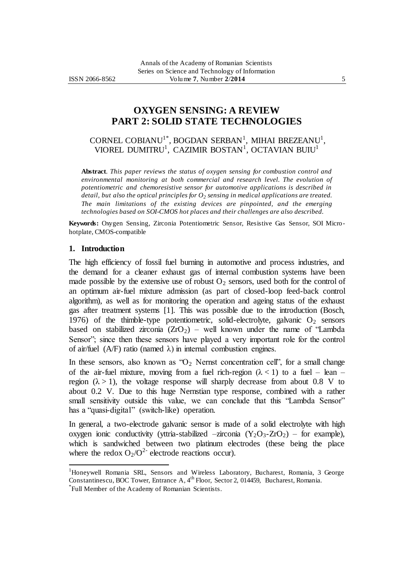# **OXYGEN SENSING: A REVIEW PART 2: SOLID STATE TECHNOLOGIES**

CORNEL COBIANU<sup>1\*</sup>, BOGDAN SERBAN<sup>1</sup>, MIHAI BREZEANU<sup>1</sup>, VIOREL DUMITRU<sup>1</sup>, CAZIMIR BOSTAN<sup>1</sup>, OCTAVIAN BUIU<sup>1</sup>

**Abstract**. *This paper reviews the status of oxygen sensing for combustion control and environmental monitoring at both commercial and research level. The evolution of potentiometric and chemoresistive sensor for automotive applications is described in detail, but also the optical principles for O<sup>2</sup> sensing in medical applications are treated. The main limitations of the existing devices are pinpointed, and the emerging technologies based on SOI-CMOS hot places and their challenges are also described.* 

**Keywords:** Oxygen Sensing, Zirconia Potentiometric Sensor, Resistive Gas Sensor, SOI Microhotplate, CMOS-compatible

#### **1. Introduction**

 $\overline{a}$ 

The high efficiency of fossil fuel burning in automotive and process industries, and the demand for a cleaner exhaust gas of internal combustion systems have been made possible by the extensive use of robust  $O_2$  sensors, used both for the control of an optimum air-fuel mixture admission (as part of closed-loop feed-back control algorithm), as well as for monitoring the operation and ageing status of the exhaust gas after treatment systems [1]. This was possible due to the introduction (Bosch, 1976) of the thimble-type potentiometric, solid-electrolyte, galvanic  $O_2$  sensors based on stabilized zirconia  $(ZrO<sub>2</sub>)$  – well known under the name of "Lambda" Sensor"; since then these sensors have played a very important role for the control of air/fuel (A/F) ratio (named  $\lambda$ ) in internal combustion engines.

In these sensors, also known as " $O_2$  Nernst concentration cell", for a small change of the air-fuel mixture, moving from a fuel rich-region  $(\lambda < 1)$  to a fuel – lean – region  $(\lambda > 1)$ , the voltage response will sharply decrease from about 0.8 V to about 0.2 V. Due to this huge Nernstian type response, combined with a rather small sensitivity outside this value, we can conclude that this "Lambda Sensor" has a "quasi-digital" (switch-like) operation.

In general, a two-electrode galvanic sensor is made of a solid electrolyte with high oxygen ionic conductivity (yttria-stabilized –zirconia  $(Y_2O_3-ZrO_2)$  – for example), which is sandwiched between two platinum electrodes (these being the place where the redox  $O_2/O^2$  electrode reactions occur).

<sup>1</sup>Honeywell Romania SRL, Sensors and Wireless Laboratory, Bucharest, Romania, 3 George Constantinescu, BOC Tower, Entrance A, 4<sup>th</sup> Floor, Sector 2, 014459, Bucharest, Romania. \* Full Member of the Academy of Romanian Scientists.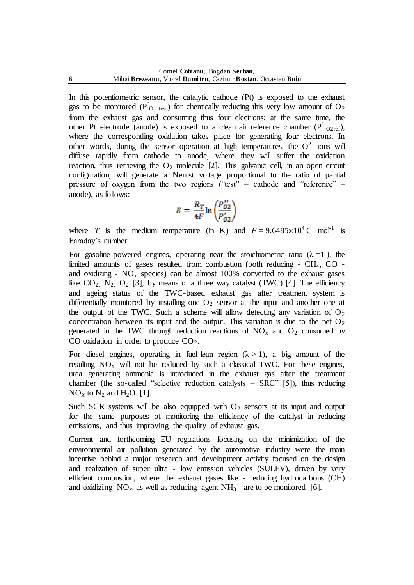In this potentiometric sensor, the catalytic cathode (Pt) is exposed to the exhaust gas to be monitored ( $\overrightarrow{P}_{Q_2 \text{ test}}$ ) for chemically reducing this very low amount of O<sub>2</sub> from the exhaust gas and consuming thus four electrons; at the same time, the other Pt electrode (anode) is exposed to a clean air reference chamber  $(P''_{O2ref})$ , where the corresponding oxidation takes place for generating four electrons. In other words, during the sensor operation at high temperatures, the  $O^{2-}$  ions will diffuse rapidly from cathode to anode, where they will suffer the oxidation reaction, thus retrieving the  $O_2$  molecule [2]. This galvanic cell, in an open circuit configuration, will generate a Nernst voltage proportional to the ratio of partial pressure of oxygen from the two regions ("test" – cathode and "reference" – anode), as follows:

$$
E = \frac{R_T}{4F} \ln \left( \frac{P_{O2}^{\prime\prime}}{P_{O2}^{\prime}} \right)
$$

where *T* is the medium temperature (in K) and  $F = 9.6485 \times 10^4$  C mol<sup>-1</sup> is Faraday's number.

For gasoline-powered engines, operating near the stoichiometric ratio  $(\lambda = 1)$ , the limited amounts of gases resulted from combustion (both reducing  $-$  CH<sub>4</sub>, CO  $$ and oxidizing -  $NO_x$  species) can be almost 100% converted to the exhaust gases like  $CO_2$ ,  $N_2$ ,  $O_2$  [3], by means of a three way catalyst (TWC) [4]. The efficiency and ageing status of the TWC-based exhaust gas after treatment system is differentially monitored by installing one  $O_2$  sensor at the input and another one at the output of the TWC. Such a scheme will allow detecting any variation of  $O_2$ concentration between its input and the output. This variation is due to the net  $O_2$ generated in the TWC through reduction reactions of  $NO<sub>x</sub>$  and  $O<sub>2</sub>$  consumed by CO oxidation in order to produce  $CO<sub>2</sub>$ .

For diesel engines, operating in fuel-lean region  $(\lambda > 1)$ , a big amount of the resulting  $NO_x$  will not be reduced by such a classical TWC. For these engines, urea generating ammonia is introduced in the exhaust gas after the treatment chamber (the so-called "selective reduction catalysts  $-$  SRC" [5]), thus reducing  $NO<sub>X</sub>$  to  $N<sub>2</sub>$  and  $H<sub>2</sub>O$ . [1].

Such SCR systems will be also equipped with  $O<sub>2</sub>$  sensors at its input and output for the same purposes of monitoring the efficiency of the catalyst in reducing emissions, and thus improving the quality of exhaust gas.

Current and forthcoming EU regulations focusing on the minimization of the environmental air pollution generated by the automotive industry were the main incentive behind a major research and development activity focused on the design and realization of super ultra - low emission vehicles (SULEV), driven by very efficient combustion, where the exhaust gases like - reducing hydrocarbons (CH) and oxidizing  $NO_x$ , as well as reducing agent  $NH_3$  - are to be monitored [6].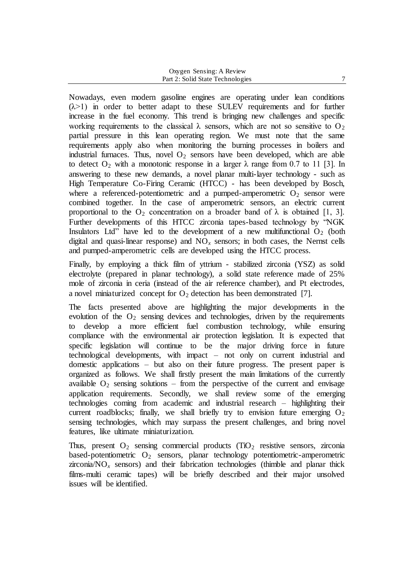| Oxygen Sensing: A Review         |  |
|----------------------------------|--|
| Part 2: Solid State Technologies |  |

Nowadays, even modern gasoline engines are operating under lean conditions  $(\lambda > 1)$  in order to better adapt to these SULEV requirements and for further increase in the fuel economy. This trend is bringing new challenges and specific working requirements to the classical  $\lambda$  sensors, which are not so sensitive to  $O_2$ partial pressure in this lean operating region. We must note that the same requirements apply also when monitoring the burning processes in boilers and industrial furnaces. Thus, novel  $O_2$  sensors have been developed, which are able to detect  $O_2$  with a monotonic response in a larger  $\lambda$  range from 0.7 to 11 [3]. In answering to these new demands, a novel planar multi-layer technology - such as High Temperature Co-Firing Ceramic (HTCC) - has been developed by Bosch, where a referenced-potentiometric and a pumped-amperometric  $O_2$  sensor were combined together. In the case of amperometric sensors, an electric current proportional to the  $O_2$  concentration on a broader band of  $\lambda$  is obtained [1, 3]. Further developments of this HTCC zirconia tapes-based technology by "NGK Insulators Ltd" have led to the development of a new multifunctional  $O_2$  (both digital and quasi-linear response) and NO*<sup>x</sup>* sensors; in both cases, the Nernst cells and pumped-amperometric cells are developed using the HTCC process.

Finally, by employing a thick film of yttrium - stabilized zirconia (YSZ) as solid electrolyte (prepared in planar technology), a solid state reference made of 25% mole of zirconia in ceria (instead of the air reference chamber), and Pt electrodes, a novel miniaturized concept for  $O_2$  detection has been demonstrated [7].

The facts presented above are highlighting the major developments in the evolution of the  $O_2$  sensing devices and technologies, driven by the requirements to develop a more efficient fuel combustion technology, while ensuring compliance with the environmental air protection legislation. It is expected that specific legislation will continue to be the major driving force in future technological developments, with impact – not only on current industrial and domestic applications – but also on their future progress. The present paper is organized as follows. We shall firstly present the main limitations of the currently available  $O_2$  sensing solutions – from the perspective of the current and envisage application requirements. Secondly, we shall review some of the emerging technologies coming from academic and industrial research – highlighting their current roadblocks; finally, we shall briefly try to envision future emerging  $O_2$ sensing technologies, which may surpass the present challenges, and bring novel features, like ultimate miniaturization.

Thus, present  $O_2$  sensing commercial products (TiO<sub>2</sub> resistive sensors, zirconia based-potentiometric  $O_2$  sensors, planar technology potentiometric-amperometric zirconia/ $NO<sub>x</sub>$  sensors) and their fabrication technologies (thimble and planar thick films-multi ceramic tapes) will be briefly described and their major unsolved issues will be identified.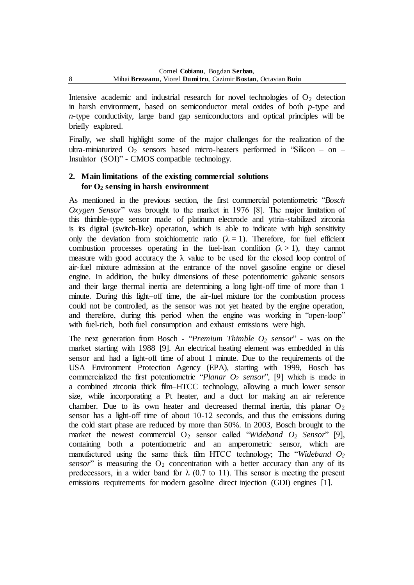Intensive academic and industrial research for novel technologies of  $O<sub>2</sub>$  detection in harsh environment, based on semiconductor metal oxides of both *p*-type and *n*-type conductivity, large band gap semiconductors and optical principles will be briefly explored.

Finally, we shall highlight some of the major challenges for the realization of the ultra-miniaturized  $O_2$  sensors based micro-heaters performed in "Silicon – on – Insulator (SOI)" - CMOS compatible technology.

# **2. Main limitations of the existing commercial solutions for O<sup>2</sup> sensing in harsh environment**

As mentioned in the previous section, the first commercial potentiometric "*Bosch Oxygen Sensor*" was brought to the market in 1976 [8]. The major limitation of this thimble-type sensor made of platinum electrode and yttria-stabilized zirconia is its digital (switch-like) operation, which is able to indicate with high sensitivity only the deviation from stoichiometric ratio ( $\lambda = 1$ ). Therefore, for fuel efficient combustion processes operating in the fuel-lean condition  $(\lambda > 1)$ , they cannot measure with good accuracy the  $\lambda$  value to be used for the closed loop control of air-fuel mixture admission at the entrance of the novel gasoline engine or diesel engine. In addition, the bulky dimensions of these potentiometric galvanic sensors and their large thermal inertia are determining a long light-off time of more than 1 minute. During this light–off time, the air-fuel mixture for the combustion process could not be controlled, as the sensor was not yet heated by the engine operation, and therefore, during this period when the engine was working in "open-loop" with fuel-rich, both fuel consumption and exhaust emissions were high.

The next generation from Bosch - "*Premium Thimble O<sup>2</sup> sensor*" - was on the market starting with 1988 [9]. An electrical heating element was embedded in this sensor and had a light-off time of about 1 minute. Due to the requirements of the USA Environment Protection Agency (EPA), starting with 1999, Bosch has commercialized the first potentiometric "*Planar O<sup>2</sup> sensor*", [9] which is made in a combined zirconia thick film–HTCC technology, allowing a much lower sensor size, while incorporating a Pt heater, and a duct for making an air reference chamber. Due to its own heater and decreased thermal inertia, this planar  $O_2$ sensor has a light-off time of about 10-12 seconds, and thus the emissions during the cold start phase are reduced by more than 50%. In 2003, Bosch brought to the market the newest commercial O<sub>2</sub> sensor called "*Wideband O<sub>2</sub> Sensor*" [9], containing both a potentiometric and an amperometric sensor, which are manufactured using the same thick film HTCC technology; The "*Wideband O<sup>2</sup> sensor*" is measuring the  $O_2$  concentration with a better accuracy than any of its predecessors, in a wider band for  $\lambda$  (0.7 to 11). This sensor is meeting the present emissions requirements for modern gasoline direct injection (GDI) engines [1].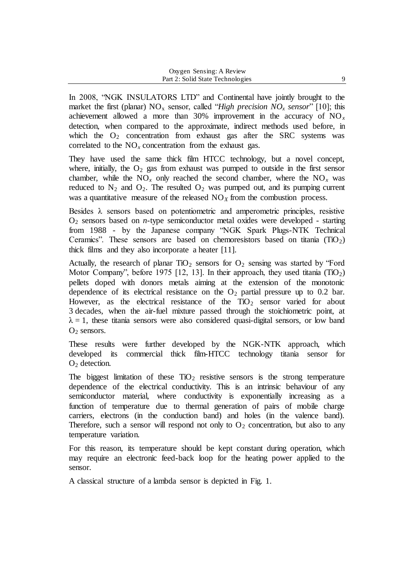In 2008, "NGK INSULATORS LTD" and Continental have jointly brought to the market the first (planar)  $NO_x$  sensor, called "*High precision*  $NO_x$  *sensor*" [10]; this achievement allowed a more than  $30\%$  improvement in the accuracy of  $NO_x$ detection, when compared to the approximate, indirect methods used before, in which the  $O_2$  concentration from exhaust gas after the SRC systems was correlated to the  $NO<sub>x</sub>$  concentration from the exhaust gas.

They have used the same thick film HTCC technology, but a novel concept, where, initially, the  $O_2$  gas from exhaust was pumped to outside in the first sensor chamber, while the  $NO_x$  only reached the second chamber, where the  $NO_x$  was reduced to  $N_2$  and  $O_2$ . The resulted  $O_2$  was pumped out, and its pumping current was a quantitative measure of the released  $NO<sub>X</sub>$  from the combustion process.

Besides  $\lambda$  sensors based on potentiometric and amperometric principles, resistive O<sup>2</sup> sensors based on *n*-type semiconductor metal oxides were developed - starting from 1988 - by the Japanese company "NGK Spark Plugs-NTK Technical Ceramics". These sensors are based on chemoresistors based on titania  $(T_1O_2)$ thick films and they also incorporate a heater [11].

Actually, the research of planar  $TiO<sub>2</sub>$  sensors for  $O<sub>2</sub>$  sensing was started by "Ford Motor Company", before 1975 [12, 13]. In their approach, they used titania  $(T_1O_2)$ pellets doped with donors metals aiming at the extension of the monotonic dependence of its electrical resistance on the  $O_2$  partial pressure up to 0.2 bar. However, as the electrical resistance of the  $TiO<sub>2</sub>$  sensor varied for about 3 decades, when the air-fuel mixture passed through the stoichiometric point, at  $\lambda = 1$ , these titania sensors were also considered quasi-digital sensors, or low band  $O<sub>2</sub>$  sensors.

These results were further developed by the NGK-NTK approach, which developed its commercial thick film-HTCC technology titania sensor for  $O<sub>2</sub>$  detection.

The biggest limitation of these  $TiO<sub>2</sub>$  resistive sensors is the strong temperature dependence of the electrical conductivity. This is an intrinsic behaviour of any semiconductor material, where conductivity is exponentially increasing as a function of temperature due to thermal generation of pairs of mobile charge carriers, electrons (in the conduction band) and holes (in the valence band). Therefore, such a sensor will respond not only to  $O_2$  concentration, but also to any temperature variation.

For this reason, its temperature should be kept constant during operation, which may require an electronic feed-back loop for the heating power applied to the sensor.

A classical structure of a lambda sensor is depicted in Fig. 1.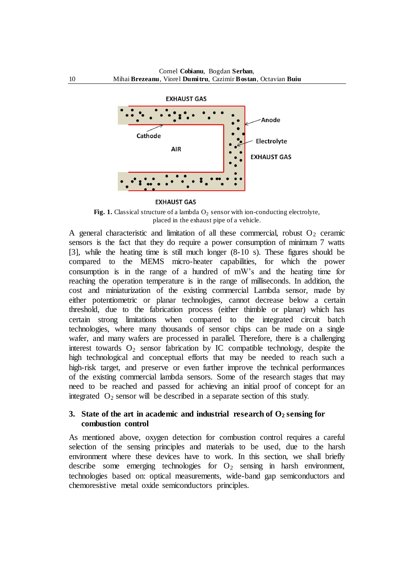

#### **EXHAUST GAS**

Fig. 1. Classical structure of a lambda  $O_2$  sensor with ion-conducting electrolyte, placed in the exhaust pipe of a vehicle.

A general characteristic and limitation of all these commercial, robust  $O_2$  ceramic sensors is the fact that they do require a power consumption of minimum 7 watts [3], while the heating time is still much longer (8-10 s). These figures should be compared to the MEMS micro-heater capabilities, for which the power consumption is in the range of a hundred of mW's and the heating time for reaching the operation temperature is in the range of milliseconds. In addition, the cost and miniaturization of the existing commercial Lambda sensor, made by either potentiometric or planar technologies, cannot decrease below a certain threshold, due to the fabrication process (either thimble or planar) which has certain strong limitations when compared to the integrated circuit batch technologies, where many thousands of sensor chips can be made on a single wafer, and many wafers are processed in parallel. Therefore, there is a challenging interest towards  $O_2$  sensor fabrication by IC compatible technology, despite the high technological and conceptual efforts that may be needed to reach such a high-risk target, and preserve or even further improve the technical performances of the existing commercial lambda sensors. Some of the research stages that may need to be reached and passed for achieving an initial proof of concept for an integrated  $O_2$  sensor will be described in a separate section of this study.

### **3. State of the art in academic and industrial research of O<sup>2</sup> sensing for combustion control**

As mentioned above, oxygen detection for combustion control requires a careful selection of the sensing principles and materials to be used, due to the harsh environment where these devices have to work. In this section, we shall briefly describe some emerging technologies for  $O_2$  sensing in harsh environment, technologies based on: optical measurements, wide-band gap semiconductors and chemoresistive metal oxide semiconductors principles.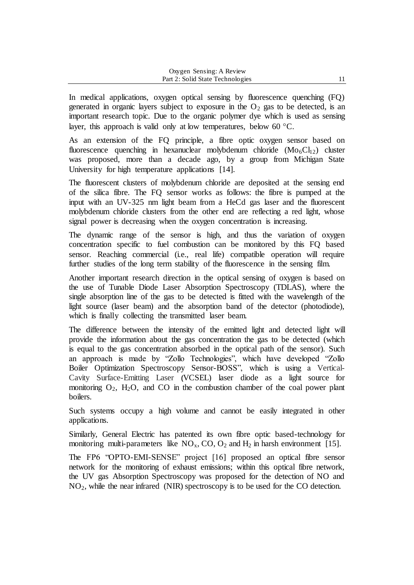In medical applications, oxygen optical sensing by fluorescence quenching (FQ) generated in organic layers subject to exposure in the  $O_2$  gas to be detected, is an important research topic. Due to the organic polymer dye which is used as sensing layer, this approach is valid only at low temperatures, below 60  $\degree$ C.

As an extension of the FQ principle, a fibre optic oxygen sensor based on fluorescence quenching in hexanuclear molybdenum chloride  $(Mo<sub>6</sub>Cl<sub>12</sub>)$  cluster was proposed, more than a decade ago, by a group from Michigan State University for high temperature applications [14].

The fluorescent clusters of molybdenum chloride are deposited at the sensing end of the silica fibre. The FQ sensor works as follows: the fibre is pumped at the input with an UV-325 nm light beam from a HeCd gas laser and the fluorescent molybdenum chloride clusters from the other end are reflecting a red light, whose signal power is decreasing when the oxygen concentration is increasing.

The dynamic range of the sensor is high, and thus the variation of oxygen concentration specific to fuel combustion can be monitored by this FQ based sensor. Reaching commercial (i.e., real life) compatible operation will require further studies of the long term stability of the fluorescence in the sensing film.

Another important research direction in the optical sensing of oxygen is based on the use of Tunable Diode Laser Absorption Spectroscopy (TDLAS), where the single absorption line of the gas to be detected is fitted with the wavelength of the light source (laser beam) and the absorption band of the detector (photodiode), which is finally collecting the transmitted laser beam.

The difference between the intensity of the emitted light and detected light will provide the information about the gas concentration the gas to be detected (which is equal to the gas concentration absorbed in the optical path of the sensor). Such an approach is made by "Zollo Technologies", which have developed "Zollo Boiler Optimization Spectroscopy Sensor-BOSS", which is using a Vertical-Cavity Surface-Emitting Laser **(**VCSEL) laser diode as a light source for monitoring  $O_2$ ,  $H_2O$ , and  $CO$  in the combustion chamber of the coal power plant boilers.

Such systems occupy a high volume and cannot be easily integrated in other applications.

Similarly, General Electric has patented its own fibre optic based-technology for monitoring multi-parameters like  $NO<sub>x</sub>$ , CO,  $O<sub>2</sub>$  and  $H<sub>2</sub>$  in harsh environment [15].

The FP6 "OPTO-EMI-SENSE" project [16] proposed an optical fibre sensor network for the monitoring of exhaust emissions; within this optical fibre network, the UV gas Absorption Spectroscopy was proposed for the detection of NO and NO2, while the near infrared (NIR) spectroscopy is to be used for the CO detection.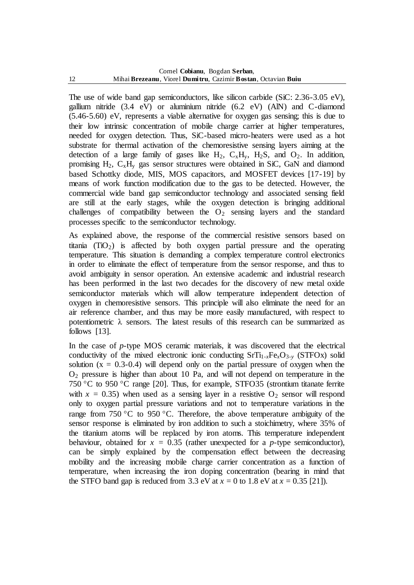The use of wide band gap semiconductors, like silicon carbide (SiC: 2.36-3.05 eV), gallium nitride (3.4 eV) or aluminium nitride (6.2 eV) (AlN) and C-diamond (5.46-5.60) eV, represents a viable alternative for oxygen gas sensing; this is due to their low intrinsic concentration of mobile charge carrier at higher temperatures, needed for oxygen detection. Thus, SiC-based micro-heaters were used as a hot substrate for thermal activation of the chemoresistive sensing layers aiming at the detection of a large family of gases like  $H_2$ ,  $C_xH_y$ ,  $H_2S$ , and  $O_2$ . In addition, promising  $H_2$ ,  $C_xH_y$  gas sensor structures were obtained in SiC, GaN and diamond based Schottky diode, MIS, MOS capacitors, and MOSFET devices [17-19] by means of work function modification due to the gas to be detected. However, the commercial wide band gap semiconductor technology and associated sensing field are still at the early stages, while the oxygen detection is bringing additional challenges of compatibility between the  $O_2$  sensing layers and the standard processes specific to the semiconductor technology.

As explained above, the response of the commercial resistive sensors based on titania  $(TiO<sub>2</sub>)$  is affected by both oxygen partial pressure and the operating temperature. This situation is demanding a complex temperature control electronics in order to eliminate the effect of temperature from the sensor response, and thus to avoid ambiguity in sensor operation. An extensive academic and industrial research has been performed in the last two decades for the discovery of new metal oxide semiconductor materials which will allow temperature independent detection of oxygen in chemoresistive sensors. This principle will also eliminate the need for an air reference chamber, and thus may be more easily manufactured, with respect to potentiometric  $\lambda$  sensors. The latest results of this research can be summarized as follows [13].

In the case of *p*-type MOS ceramic materials, it was discovered that the electrical conductivity of the mixed electronic ionic conducting  $SrTi_{1-x}Fe_{x}O_{3-y}$  (STFOx) solid solution  $(x = 0.3-0.4)$  will depend only on the partial pressure of oxygen when the  $O<sub>2</sub>$  pressure is higher than about 10 Pa, and will not depend on temperature in the 750 °C to 950 °C range [20]. Thus, for example, STFO35 (strontium titanate ferrite with  $x = 0.35$ ) when used as a sensing layer in a resistive  $O_2$  sensor will respond only to oxygen partial pressure variations and not to temperature variations in the range from 750 °C to 950 °C. Therefore, the above temperature ambiguity of the sensor response is eliminated by iron addition to such a stoichimetry, where 35% of the titanium atoms will be replaced by iron atoms. This temperature independent behaviour, obtained for  $x = 0.35$  (rather unexpected for a *p*-type semiconductor), can be simply explained by the compensation effect between the decreasing mobility and the increasing mobile charge carrier concentration as a function of temperature, when increasing the iron doping concentration (bearing in mind that the STFO band gap is reduced from 3.3 eV at  $x = 0$  to 1.8 eV at  $x = 0.35$  [21]).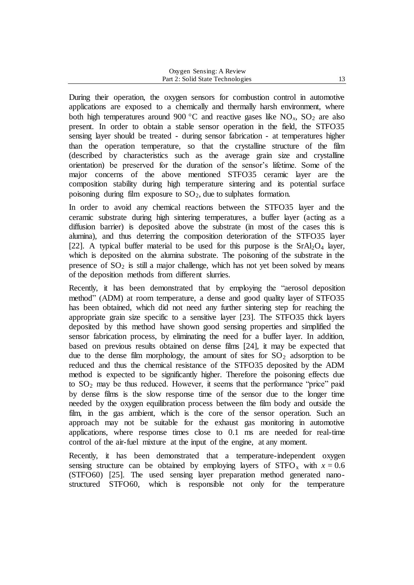| Oxygen Sensing: A Review         |  |
|----------------------------------|--|
| Part 2: Solid State Technologies |  |

During their operation, the oxygen sensors for combustion control in automotive applications are exposed to a chemically and thermally harsh environment, where both high temperatures around 900 °C and reactive gases like  $NO_x$ ,  $SO_2$  are also present. In order to obtain a stable sensor operation in the field, the STFO35 sensing layer should be treated - during sensor fabrication - at temperatures higher than the operation temperature, so that the crystalline structure of the film (described by characteristics such as the average grain size and crystalline orientation) be preserved for the duration of the sensor's lifetime. Some of the major concerns of the above mentioned STFO35 ceramic layer are the composition stability during high temperature sintering and its potential surface poisoning during film exposure to  $SO_2$ , due to sulphates formation.

In order to avoid any chemical reactions between the STFO35 layer and the ceramic substrate during high sintering temperatures, a buffer layer (acting as a diffusion barrier) is deposited above the substrate (in most of the cases this is alumina), and thus deterring the composition deterioration of the STFO35 layer [22]. A typical buffer material to be used for this purpose is the  $SrAl<sub>2</sub>O<sub>4</sub>$  layer, which is deposited on the alumina substrate. The poisoning of the substrate in the presence of  $SO<sub>2</sub>$  is still a major challenge, which has not yet been solved by means of the deposition methods from different slurries.

Recently, it has been demonstrated that by employing the "aerosol deposition method" (ADM) at room temperature, a dense and good quality layer of STFO35 has been obtained, which did not need any further sintering step for reaching the appropriate grain size specific to a sensitive layer [23]. The STFO35 thick layers deposited by this method have shown good sensing properties and simplified the sensor fabrication process, by eliminating the need for a buffer layer. In addition, based on previous results obtained on dense films [24], it may be expected that due to the dense film morphology, the amount of sites for  $SO<sub>2</sub>$  adsorption to be reduced and thus the chemical resistance of the STFO35 deposited by the ADM method is expected to be significantly higher. Therefore the poisoning effects due to  $SO<sub>2</sub>$  may be thus reduced. However, it seems that the performance "price" paid by dense films is the slow response time of the sensor due to the longer time needed by the oxygen equilibration process between the film body and outside the film, in the gas ambient, which is the core of the sensor operation. Such an approach may not be suitable for the exhaust gas monitoring in automotive applications, where response times close to 0.1 ms are needed for real-time control of the air-fuel mixture at the input of the engine, at any moment.

Recently, it has been demonstrated that a temperature-independent oxygen sensing structure can be obtained by employing layers of  $STFO_x$  with  $x = 0.6$ (STFO60) [25]. The used sensing layer preparation method generated nanostructured STFO60, which is responsible not only for the temperature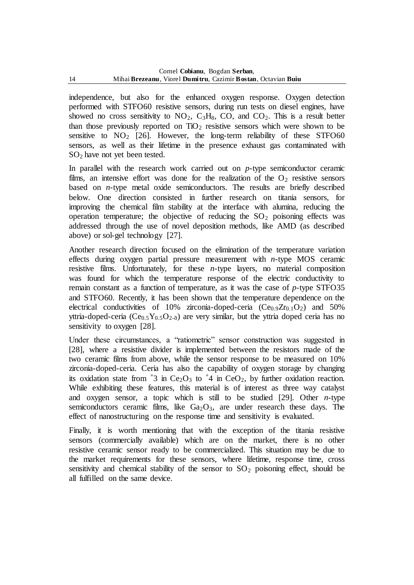independence, but also for the enhanced oxygen response. Oxygen detection performed with STFO60 resistive sensors, during run tests on diesel engines, have showed no cross sensitivity to  $NO_2$ ,  $C_3H_8$ ,  $CO$ , and  $CO_2$ . This is a result better than those previously reported on  $TiO<sub>2</sub>$  resistive sensors which were shown to be sensitive to  $NO<sub>2</sub>$  [26]. However, the long-term reliability of these STFO60 sensors, as well as their lifetime in the presence exhaust gas contaminated with SO<sup>2</sup> have not yet been tested.

In parallel with the research work carried out on *p*-type semiconductor ceramic films, an intensive effort was done for the realization of the  $O_2$  resistive sensors based on *n*-type metal oxide semiconductors. The results are briefly described below. One direction consisted in further research on titania sensors, for improving the chemical film stability at the interface with alumina, reducing the operation temperature; the objective of reducing the  $SO<sub>2</sub>$  poisoning effects was addressed through the use of novel deposition methods, like AMD (as described above) or sol-gel technology [27].

Another research direction focused on the elimination of the temperature variation effects during oxygen partial pressure measurement with *n*-type MOS ceramic resistive films. Unfortunately, for these  $n$ -type layers, no material composition was found for which the temperature response of the electric conductivity to remain constant as a function of temperature, as it was the case of *p*-type STFO35 and STFO60. Recently, it has been shown that the temperature dependence on the electrical conductivities of 10% zirconia-doped-ceria  $(Ce_{0.9}Zr_{0.1}O_2)$  and 50% yttria-doped-ceria ( $Ce<sub>0.5</sub>Y<sub>0.5</sub>O<sub>2-<sub>δ</sub></sub>$ ) are very similar, but the yttria doped ceria has no sensitivity to oxygen [28].

Under these circumstances, a "ratiometric" sensor construction was suggested in [28], where a resistive divider is implemented between the resistors made of the two ceramic films from above, while the sensor response to be measured on 10% zirconia-doped-ceria. Ceria has also the capability of oxygen storage by changing its oxidation state from  $\pm 3$  in Ce<sub>2</sub>O<sub>3</sub> to  $\pm 4$  in CeO<sub>2</sub>, by further oxidation reaction. While exhibiting these features, this material is of interest as three way catalyst and oxygen sensor, a topic which is still to be studied [29]. Other *n*-type semiconductors ceramic films, like  $Ga<sub>2</sub>O<sub>3</sub>$ , are under research these days. The effect of nanostructuring on the response time and sensitivity is evaluated.

Finally, it is worth mentioning that with the exception of the titania resistive sensors (commercially available) which are on the market, there is no other resistive ceramic sensor ready to be commercialized. This situation may be due to the market requirements for these sensors, where lifetime, response time, cross sensitivity and chemical stability of the sensor to  $SO_2$  poisoning effect, should be all fulfilled on the same device.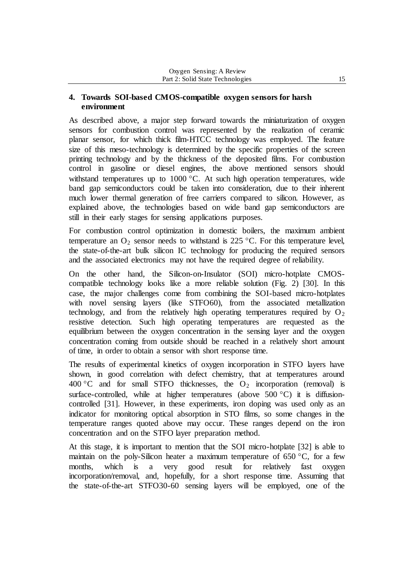### **4. Towards SOI-based CMOS-compatible oxygen sensors for harsh environment**

As described above, a major step forward towards the miniaturization of oxygen sensors for combustion control was represented by the realization of ceramic planar sensor, for which thick film-HTCC technology was employed. The feature size of this meso-technology is determined by the specific properties of the screen printing technology and by the thickness of the deposited films. For combustion control in gasoline or diesel engines, the above mentioned sensors should withstand temperatures up to  $1000 \, \degree$ C. At such high operation temperatures, wide band gap semiconductors could be taken into consideration, due to their inherent much lower thermal generation of free carriers compared to silicon. However, as explained above, the technologies based on wide band gap semiconductors are still in their early stages for sensing applications purposes.

For combustion control optimization in domestic boilers, the maximum ambient temperature an  $O_2$  sensor needs to withstand is 225 °C. For this temperature level, the state-of-the-art bulk silicon IC technology for producing the required sensors and the associated electronics may not have the required degree of reliability.

On the other hand, the Silicon-on-Insulator (SOI) micro-hotplate CMOScompatible technology looks like a more reliable solution (Fig. 2) [30]. In this case, the major challenges come from combining the SOI-based micro-hotplates with novel sensing layers (like STFO60), from the associated metallization technology, and from the relatively high operating temperatures required by  $O_2$ resistive detection. Such high operating temperatures are requested as the equilibrium between the oxygen concentration in the sensing layer and the oxygen concentration coming from outside should be reached in a relatively short amount of time, in order to obtain a sensor with short response time.

The results of experimental kinetics of oxygen incorporation in STFO layers have shown, in good correlation with defect chemistry, that at temperatures around 400 °C and for small STFO thicknesses, the  $O_2$  incorporation (removal) is surface-controlled, while at higher temperatures (above 500  $^{\circ}$ C) it is diffusioncontrolled [31]. However, in these experiments, iron doping was used only as an indicator for monitoring optical absorption in STO films, so some changes in the temperature ranges quoted above may occur. These ranges depend on the iron concentration and on the STFO layer preparation method.

At this stage, it is important to mention that the SOI micro-hotplate [32] is able to maintain on the poly-Silicon heater a maximum temperature of  $650 °C$ , for a few months, which is a very good result for relatively fast oxygen incorporation/removal, and, hopefully, for a short response time. Assuming that the state-of-the-art STFO30-60 sensing layers will be employed, one of the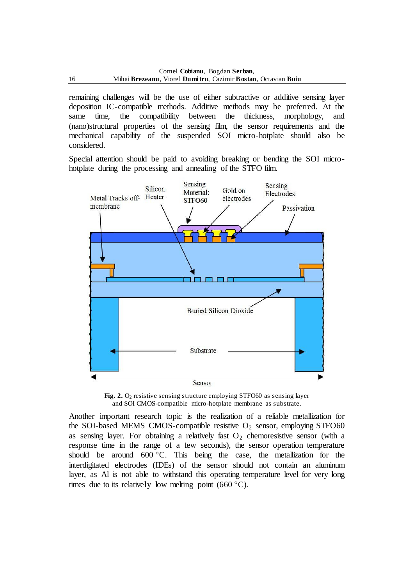remaining challenges will be the use of either subtractive or additive sensing layer deposition IC-compatible methods. Additive methods may be preferred. At the same time, the compatibility between the thickness, morphology, and (nano)structural properties of the sensing film, the sensor requirements and the mechanical capability of the suspended SOI micro-hotplate should also be considered.

Special attention should be paid to avoiding breaking or bending the SOI microhotplate during the processing and annealing of the STFO film.



**Fig. 2.**  $O_2$  resistive sensing structure employing STFO60 as sensing layer and SOI CMOS-compatible micro-hotplate membrane as substrate.

Another important research topic is the realization of a reliable metallization for the SOI-based MEMS CMOS-compatible resistive  $O_2$  sensor, employing STFO60 as sensing layer. For obtaining a relatively fast  $O<sub>2</sub>$  chemoresistive sensor (with a response time in the range of a few seconds), the sensor operation temperature should be around  $600^{\circ}$ C. This being the case, the metallization for the interdigitated electrodes (IDEs) of the sensor should not contain an aluminum layer, as Al is not able to withstand this operating temperature level for very long times due to its relatively low melting point  $(660 \degree C)$ .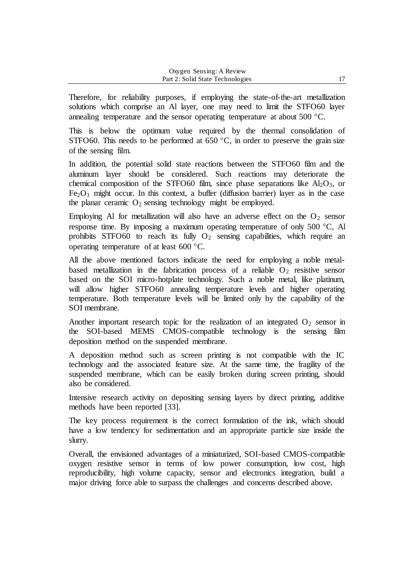Therefore, for reliability purposes, if employing the state-of-the-art metallization solutions which comprise an Al layer, one may need to limit the STFO60 layer annealing temperature and the sensor operating temperature at about  $500^{\circ}$ C.

This is below the optimum value required by the thermal consolidation of STFO60. This needs to be performed at  $650^{\circ}$ C, in order to preserve the grain size of the sensing film.

In addition, the potential solid state reactions between the STFO60 film and the aluminum layer should be considered. Such reactions may deteriorate the chemical composition of the STFO60 film, since phase separations like  $Al_2O_3$ , or  $Fe<sub>2</sub>O<sub>3</sub>$  might occur. In this context, a buffer (diffusion barrier) layer as in the case the planar ceramic  $O_2$  sensing technology might be employed.

Employing Al for metallization will also have an adverse effect on the  $O_2$  sensor response time. By imposing a maximum operating temperature of only  $500^{\circ}$ C, Al prohibits STFO60 to reach its fully  $O_2$  sensing capabilities, which require an operating temperature of at least  $600^{\circ}$ C.

All the above mentioned factors indicate the need for employing a noble metalbased metallization in the fabrication process of a reliable  $O_2$  resistive sensor based on the SOI micro-hotplate technology. Such a noble metal, like platinum, will allow higher STFO60 annealing temperature levels and higher operating temperature. Both temperature levels will be limited only by the capability of the SOI membrane.

Another important research topic for the realization of an integrated  $O_2$  sensor in the SOI-based MEMS CMOS-compatible technology is the sensing film deposition method on the suspended membrane.

A deposition method such as screen printing is not compatible with the IC technology and the associated feature size. At the same time, the fragility of the suspended membrane, which can be easily broken during screen printing, should also be considered.

Intensive research activity on depositing sensing layers by direct printing, additive methods have been reported [33].

The key process requirement is the correct formulation of the ink, which should have a low tendency for sedimentation and an appropriate particle size inside the slurry.

Overall, the envisioned advantages of a miniaturized, SOI-based CMOS-compatible oxygen resistive sensor in terms of low power consumption, low cost, high reproducibility, high volume capacity, sensor and electronics integration, build a major driving force able to surpass the challenges and concerns described above.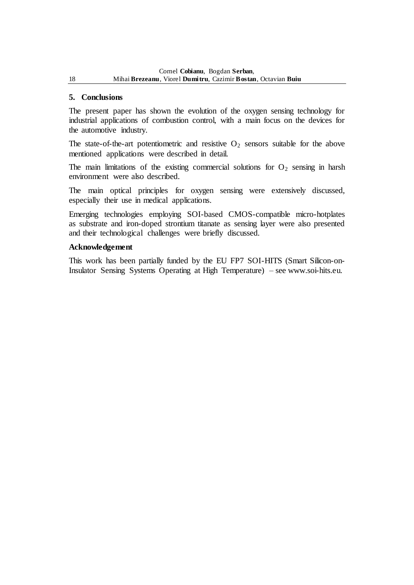### **5. Conclusions**

The present paper has shown the evolution of the oxygen sensing technology for industrial applications of combustion control, with a main focus on the devices for the automotive industry.

The state-of-the-art potentiometric and resistive  $O_2$  sensors suitable for the above mentioned applications were described in detail.

The main limitations of the existing commercial solutions for  $O_2$  sensing in harsh environment were also described.

The main optical principles for oxygen sensing were extensively discussed, especially their use in medical applications.

Emerging technologies employing SOI-based CMOS-compatible micro-hotplates as substrate and iron-doped strontium titanate as sensing layer were also presented and their technological challenges were briefly discussed.

#### **Acknowledgement**

This work has been partially funded by the EU FP7 SOI-HITS (Smart Silicon-on-Insulator Sensing Systems Operating at High Temperature) – see [www.soi-hits.eu.](http://www.soi-hits.eu/)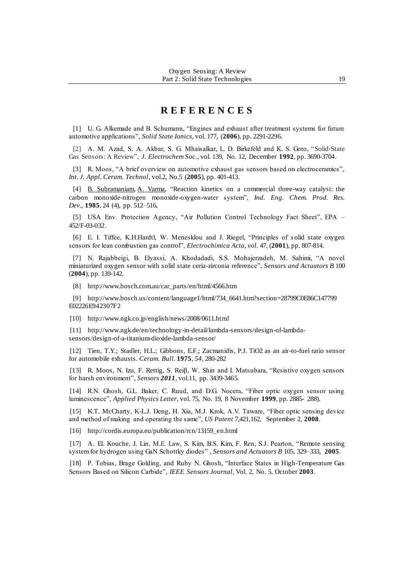# **R E F E R E N C E S**

[1] U. G. Alkemade and B. Schumann, "Engines and exhaust after treatment systems for future automotive applications", *Solid State Ionics*, vol. 177, (**2006**), pp. 2291-2296.

[2] A. M. Azad, S. A. Akbar, S. G. Mhaisalkar, L. D. Birkefeld and K. S. Goto, "Solid‐State Gas Sensors: A Review", *J. Electrochem Soc*., vol. 139, No. 12, December **1992**, pp. 3690-3704.

[3] R. Moos, "A brief overview on automotive exhaust gas sensors based on electroceramics", *Int. J. Appl. Ceram. Technol*, vol.2, No.5 (**2005**), pp. 401-413.

[4] [B. Subramaniam,](http://pubs.acs.org/action/doSearch?ContribStored=Subramaniam%2C+Bala) [A. Varma,](http://pubs.acs.org/action/doSearch?ContribStored=Varma%2C+Arvind) "Reaction kinetics on a commercial three-way catalyst: the carbon monoxide-nitrogen monoxide-oxygen-water system", *Ind. Eng. Chem. Prod. Res. Dev.*, **1985**, 24 (4), pp. 512–516**.**

[5] USA Env. Protection Agency, "Air Pollution Control Technology Fact Sheet", EPA – 452/F-03-032.

[6] E. I. Tiffee, K.H.Hardtl, W. Menesklou and J. Riegel, "Principles of s olid state oxygen sensors for lean combustion gas control", *Electrochimica Acta, vol.* 47, (**2001**), pp. 807-814.

[7] N. Rajabbeigi, B. Elyassi, A. Khodadadi, S.S. Mohajerzadeh, M. Sahimi, "A novel miniaturized oxygen sensor with solid state ceria-zirconia reference", *Sensors and Actuators B* 100 (**2004**), pp. 139-142.

[8] [http://www.bosch.com.au/car\\_parts/en/html/4566.htm](http://www.bosch.com.au/car_parts/en/html/4566.htm)

[9] [http://www.bosch.us/content/language1/html/734\\_6641.htm?section=28799C0E86C147799](http://www.bosch.us/content/language1/html/734_6641.htm?section=28799C0E86C147799E02226E942307F2) [E02226E942307F2](http://www.bosch.us/content/language1/html/734_6641.htm?section=28799C0E86C147799E02226E942307F2)

[10] <http://www.ngk.co.jp/english/news/2008/0611.html>

[11] [http://www.ngk.de/en/technology-in-detail/lambda-sensors/design-of-lambda](http://www.ngk.de/en/technology-in-detail/lambda-sensors/design-of-lambda-sensors/design-of-a-titanium-dioxide-lambda-sensor/)[sensors/design-of-a-titanium-dioxide-lambda-sensor/](http://www.ngk.de/en/technology-in-detail/lambda-sensors/design-of-lambda-sensors/design-of-a-titanium-dioxide-lambda-sensor/)

[12] Tien, T.Y.; Stadler, H.L.; Gibbons, E.F.; Zacmanidis, P.J. TiO2 as an air-to-fuel ratio sensor for automobile exhausts. *Ceram. Bull.* **1975**, *54*, 280-282

[13] R. Moos, N. Izu, F. Rettig, S. Reiβ, W. Shin and I. Matsubara, "Resistive oxygen sensors for harsh environment", *Sensors 2011*, vol.11, pp. 3439-3465.

[14] R.N. Ghosh, G.L. Baker, C. Ruud, and D.G. Nocera, "Fiber optic oxygen sensor using luminescence", *Applied Physics Letter*, vol. 75, No. 19, 8 November **1999**, pp. 2885- 288).

[15] K.T. McCharty, K-L.J. Deng, H. Xia, M.J. Krok, A.V. Taware, "Fiber optic sensing device and method of making and operating the same", *US Patent* 7,421,162, September 2, **2008**.

[16] http://cordis.europa.eu/publication/rcn/13159\_en.html

[17] A. El. Kouche, J. Lin, M.E. Law, S. Kim, B.S. Kim, F. Ren, S.J. Pearton, "Remote sensing system for hydrogen using GaN Schottky diodes" *, Sensors and Actuators B* 105, 329–333, **2005**.

[18] P. Tobias, Brage Golding, and Ruby N. Ghosh, "Interface States in High-Temperature Gas Sensors Based on Silicon Carbide", *IEEE Sensors Journal*, Vol. 2, No. 5, October **2003**.